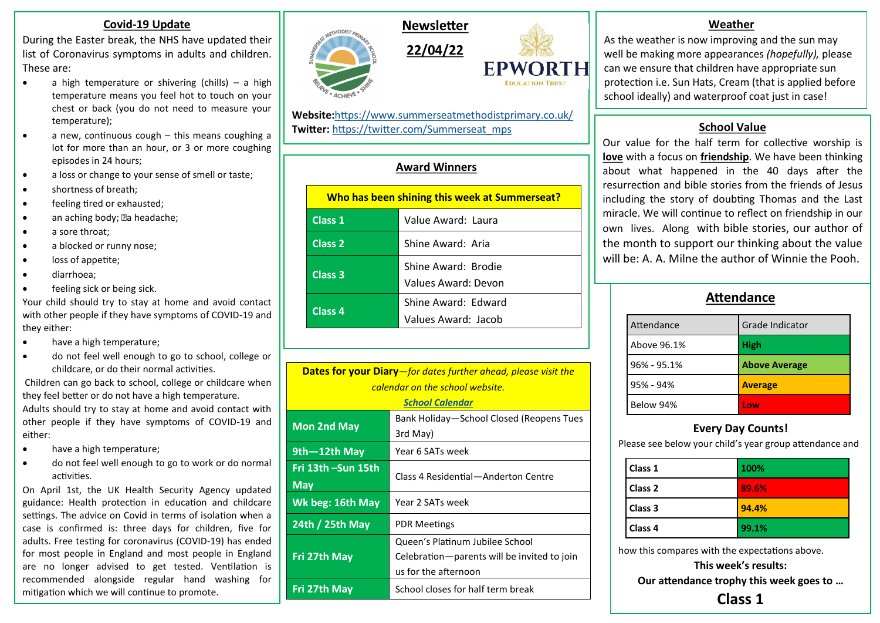### **Covid-19 Update**

During the Easter break, the NHS have updated their list of Coronavirus symptoms in adults and children. These are:

- a high temperature or shivering (chills) a high temperature means you feel hot to touch on your chest or back (you do not need to measure your temperature);
- a new, continuous cough this means coughing a lot for more than an hour, or 3 or more coughing episodes in 24 hours;
- a loss or change to your sense of smell or taste;
- shortness of breath;
- feeling tired or exhausted;
- an aching body; an headache;
- a sore throat;
- a blocked or runny nose;
- loss of appetite;
- diarrhoea;
- feeling sick or being sick.

Your child should try to stay at home and avoid contact with other people if they have symptoms of COVID-19 and they either:

- have a high temperature;
- do not feel well enough to go to school, college or childcare, or do their normal activities.

Children can go back to school, college or childcare when they feel better or do not have a high temperature. Adults should try to stay at home and avoid contact with other people if they have symptoms of COVID-19 and either:

- have a high temperature;
- do not feel well enough to go to work or do normal activities.

On April 1st, the UK Health Security Agency updated guidance: Health protection in education and childcare settings. The advice on Covid in terms of isolation when a case is confirmed is: three days for children, five for adults. Free testing for coronavirus (COVID-19) has ended for most people in England and most people in England are no longer advised to get tested. Ventilation is recommended alongside regular hand washing for mitigation which we will continue to promote.





**Website:**<https://www.summerseatmethodistprimary.co.uk/> **Twitter:** [https://twitter.com/Summerseat\\_mps](https://twitter.com/Summerseat_mps)

## **Award Winners**

| Who has been shining this week at Summerseat? |                                            |  |
|-----------------------------------------------|--------------------------------------------|--|
| Class 1                                       | Value Award: Laura                         |  |
| Class 2                                       | Shine Award: Aria                          |  |
| Class 3                                       | Shine Award: Brodie<br>Values Award: Devon |  |
| Class <sub>4</sub>                            | Shine Award: Edward<br>Values Award: Jacob |  |

| <b>Dates for your Diary</b> —for dates further ahead, please visit the |                                             |  |
|------------------------------------------------------------------------|---------------------------------------------|--|
| calendar on the school website.                                        |                                             |  |
| <b>School Calendar</b>                                                 |                                             |  |
| <b>Mon 2nd May</b>                                                     | Bank Holiday-School Closed (Reopens Tues    |  |
|                                                                        | 3rd May)                                    |  |
| $9th - 12th$ May                                                       | Year 6 SATs week                            |  |
| Fri 13th –Sun 15th                                                     | Class 4 Residential-Anderton Centre         |  |
| <b>May</b>                                                             |                                             |  |
| Wk beg: 16th May                                                       | Year 2 SATs week                            |  |
| 24th / 25th May                                                        | <b>PDR Meetings</b>                         |  |
|                                                                        | Queen's Platinum Jubilee School             |  |
| Fri 27th May                                                           | Celebration-parents will be invited to join |  |
|                                                                        | us for the afternoon                        |  |
| Fri 27th May                                                           | School closes for half term break           |  |

### **Weather**

As the weather is now improving and the sun may well be making more appearances *(hopefully),* please can we ensure that children have appropriate sun protection i.e. Sun Hats, Cream (that is applied before school ideally) and waterproof coat just in case!

## **School Value**

Our value for the half term for collective worship is **love** with a focus on **friendship**. We have been thinking about what happened in the 40 days after the resurrection and bible stories from the friends of Jesus including the story of doubting Thomas and the Last miracle. We will continue to reflect on friendship in our own lives. Along with bible stories, our author of the month to support our thinking about the value will be: A. A. Milne the author of Winnie the Pooh.

# **Attendance**

| Attendance      | Grade Indicator      |
|-----------------|----------------------|
| Above 96.1%     | <b>High</b>          |
| $96\% - 95.1\%$ | <b>Above Average</b> |
| $95% - 94%$     | <b>Average</b>       |
| Below 94%       | l ow                 |

# **Every Day Counts!**

Please see below your child's year group attendance and

| Class 1 | 100%  |
|---------|-------|
| Class 2 | 89.6% |
| Class 3 | 94.4% |
| Class 4 | 99.1% |

how this compares with the expectations above.

**This week's results:**

**Our attendance trophy this week goes to …**

**Class 1**